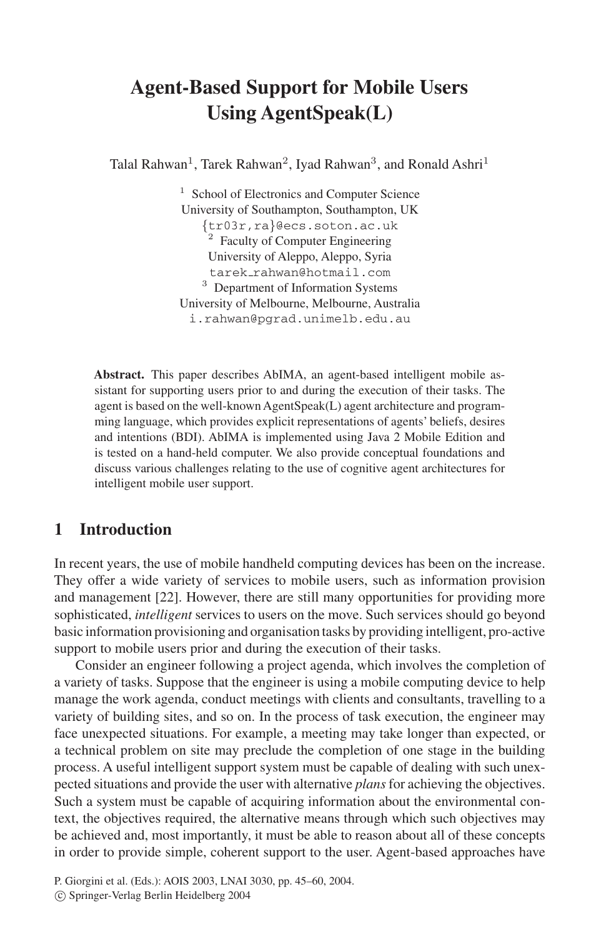# **Agent-Based Support for Mobile Users Using AgentSpeak(L)**

Talal Rahwan<sup>1</sup>, Tarek Rahwan<sup>2</sup>, Iyad Rahwan<sup>3</sup>, and Ronald Ashri<sup>1</sup>

<sup>1</sup> School of Electronics and Computer Science University of Southampton, Southampton, UK {tr03r,ra}@ecs.soton.ac.uk <sup>2</sup> Faculty of Computer Engineering University of Aleppo, Aleppo, Syria tarek rahwan@hotmail.com <sup>3</sup> Department of Information Systems University of Melbourne, Melbourne, Australia i.rahwan@pgrad.unimelb.edu.au

**Abstract.** This paper describes AbIMA, an agent-based intelligent mobile assistant for supporting users prior to and during the execution of their tasks. The agent is based on the well-known AgentSpeak(L) agent architecture and programming language, which provides explicit representations of agents' beliefs, desires and intentions (BDI). AbIMA is implemented using Java 2 Mobile Edition and is tested on a hand-held computer. We also provide conceptual foundations and discuss various challenges relating to the use of cognitive agent architectures for intelligent mobile user support.

## **1 Introduction**

In recent years, the use of mobile handheld computing devices has been on the increase. They offer a wide variety of services to mobile users, such as information provision and management [22]. However, there are still many opportunities for providing more sophisticated, *intelligent* services to users on the move. Such services should go beyond basic information provisioning and organisation tasks by providing intelligent, pro-active support to mobile users prior and during the execution of their tasks.

Consider an engineer following a project agenda, which involves the completion of a variety of tasks. Suppose that the engineer is using a mobile computing device to help manage the work agenda, conduct meetings with clients and consultants, travelling to a variety of building sites, and so on. In the process of task execution, the engineer may face unexpected situations. For example, a meeting may take longer than expected, or a technical problem on site may preclude the completion of one stage in the building process. A useful intelligent support system must be capable of dealing with such unexpected situations and provide the user with alternative *plans*for achieving the objectives. Such a system must be capable of acquiring information about the environmental context, the objectives required, the alternative means through which such objectives may be achieved and, most importantly, it must be able to reason about all of these concepts in order to provide simple, coherent support to the user. Agent-based approaches have

P. Giorgini et al. (Eds.): AOIS 2003, LNAI 3030, pp. 45–60, 2004. c Springer-Verlag Berlin Heidelberg 2004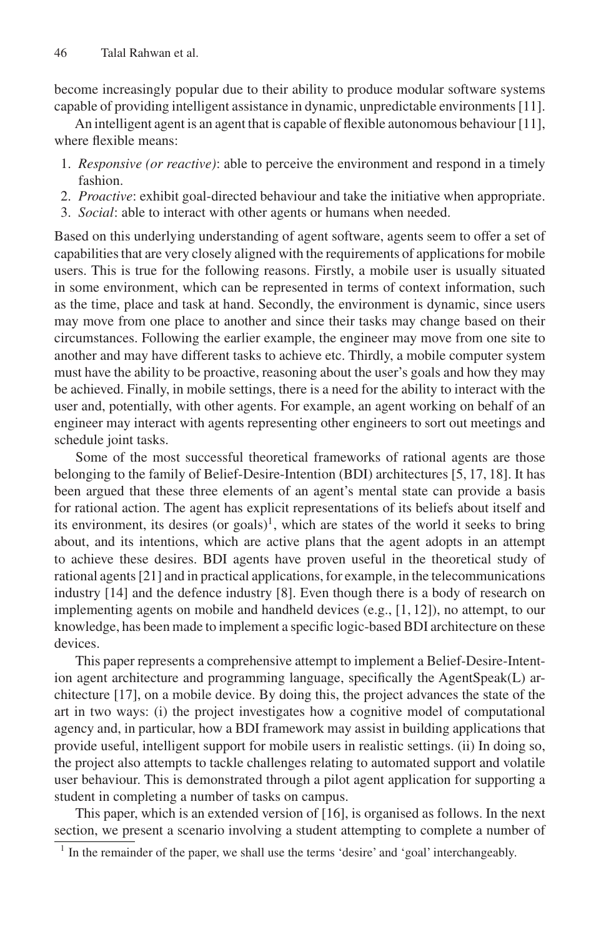become increasingly popular due to their ability to produce modular software systems capable of providing intelligent assistance in dynamic, unpredictable environments [11].

An intelligent agent is an agent that is capable of flexible autonomous behaviour [11], where flexible means:

- 1. *Responsive (or reactive)*: able to perceive the environment and respond in a timely fashion.
- 2. *Proactive*: exhibit goal-directed behaviour and take the initiative when appropriate.
- 3. *Social*: able to interact with other agents or humans when needed.

Based on this underlying understanding of agent software, agents seem to offer a set of capabilities that are very closely aligned with the requirements of applications for mobile users. This is true for the following reasons. Firstly, a mobile user is usually situated in some environment, which can be represented in terms of context information, such as the time, place and task at hand. Secondly, the environment is dynamic, since users may move from one place to another and since their tasks may change based on their circumstances. Following the earlier example, the engineer may move from one site to another and may have different tasks to achieve etc. Thirdly, a mobile computer system must have the ability to be proactive, reasoning about the user's goals and how they may be achieved. Finally, in mobile settings, there is a need for the ability to interact with the user and, potentially, with other agents. For example, an agent working on behalf of an engineer may interact with agents representing other engineers to sort out meetings and schedule joint tasks.

Some of the most successful theoretical frameworks of rational agents are those belonging to the family of Belief-Desire-Intention (BDI) architectures [5, 17, 18]. It has been argued that these three elements of an agent's mental state can provide a basis for rational action. The agent has explicit representations of its beliefs about itself and its environment, its desires (or goals)<sup>1</sup>, which are states of the world it seeks to bring about, and its intentions, which are active plans that the agent adopts in an attempt to achieve these desires. BDI agents have proven useful in the theoretical study of rational agents [21] and in practical applications, for example, in the telecommunications industry [14] and the defence industry [8]. Even though there is a body of research on implementing agents on mobile and handheld devices (e.g., [1, 12]), no attempt, to our knowledge, has been made to implement a specific logic-based BDI architecture on these devices.

This paper represents a comprehensive attempt to implement a Belief-Desire-Intention agent architecture and programming language, specifically the AgentSpeak(L) architecture [17], on a mobile device. By doing this, the project advances the state of the art in two ways: (i) the project investigates how a cognitive model of computational agency and, in particular, how a BDI framework may assist in building applications that provide useful, intelligent support for mobile users in realistic settings. (ii) In doing so, the project also attempts to tackle challenges relating to automated support and volatile user behaviour. This is demonstrated through a pilot agent application for supporting a student in completing a number of tasks on campus.

This paper, which is an extended version of [16], is organised as follows. In the next section, we present a scenario involving a student attempting to complete a number of

<sup>&</sup>lt;sup>1</sup> In the remainder of the paper, we shall use the terms 'desire' and 'goal' interchangeably.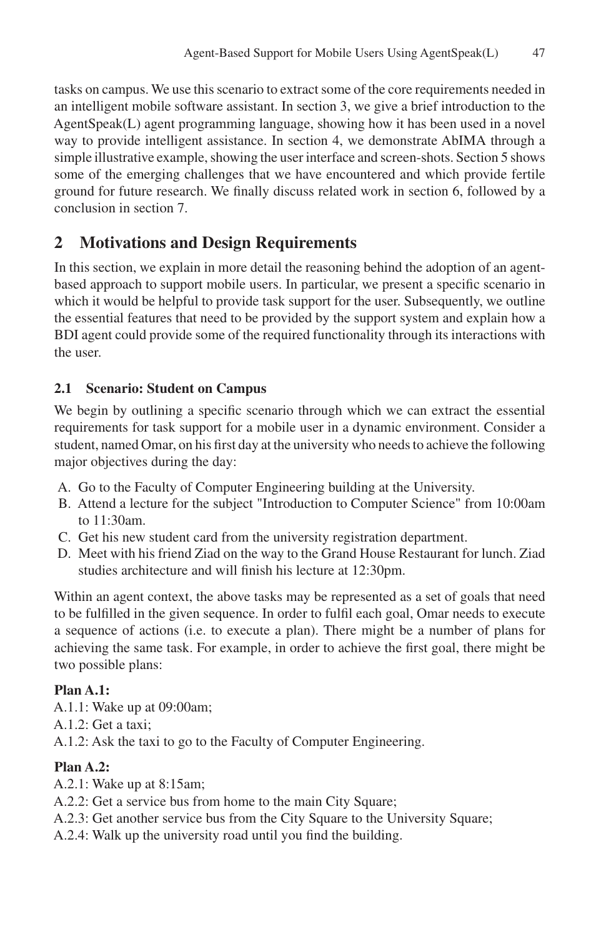tasks on campus. We use this scenario to extract some of the core requirements needed in an intelligent mobile software assistant. In section 3, we give a brief introduction to the AgentSpeak(L) agent programming language, showing how it has been used in a novel way to provide intelligent assistance. In section 4, we demonstrate AbIMA through a simple illustrative example, showing the user interface and screen-shots. Section 5 shows some of the emerging challenges that we have encountered and which provide fertile ground for future research. We finally discuss related work in section 6, followed by a conclusion in section 7.

## **2 Motivations and Design Requirements**

In this section, we explain in more detail the reasoning behind the adoption of an agentbased approach to support mobile users. In particular, we present a specific scenario in which it would be helpful to provide task support for the user. Subsequently, we outline the essential features that need to be provided by the support system and explain how a BDI agent could provide some of the required functionality through its interactions with the user.

## **2.1 Scenario: Student on Campus**

We begin by outlining a specific scenario through which we can extract the essential requirements for task support for a mobile user in a dynamic environment. Consider a student, named Omar, on his first day at the university who needs to achieve the following major objectives during the day:

- A. Go to the Faculty of Computer Engineering building at the University.
- B. Attend a lecture for the subject "Introduction to Computer Science" from 10:00am to 11:30am.
- C. Get his new student card from the university registration department.
- D. Meet with his friend Ziad on the way to the Grand House Restaurant for lunch. Ziad studies architecture and will finish his lecture at 12:30pm.

Within an agent context, the above tasks may be represented as a set of goals that need to be fulfilled in the given sequence. In order to fulfil each goal, Omar needs to execute a sequence of actions (i.e. to execute a plan). There might be a number of plans for achieving the same task. For example, in order to achieve the first goal, there might be two possible plans:

## **Plan A.1:**

- A.1.1: Wake up at 09:00am;
- A.1.2: Get a taxi;
- A.1.2: Ask the taxi to go to the Faculty of Computer Engineering.

## **Plan A.2:**

- A.2.1: Wake up at 8:15am;
- A.2.2: Get a service bus from home to the main City Square;
- A.2.3: Get another service bus from the City Square to the University Square;
- A.2.4: Walk up the university road until you find the building.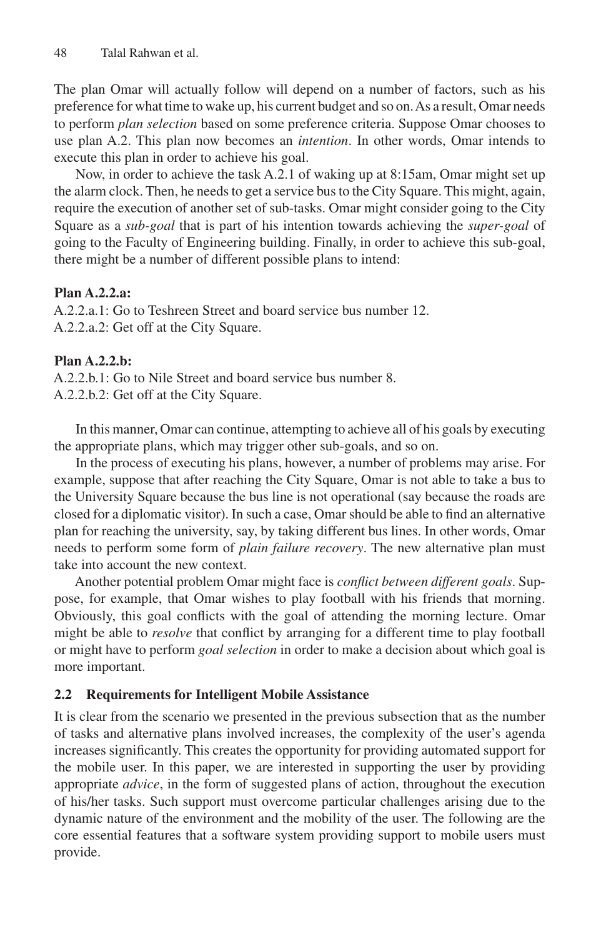The plan Omar will actually follow will depend on a number of factors, such as his preference for what time to wake up, his current budget and so on.As a result, Omar needs to perform *plan selection* based on some preference criteria. Suppose Omar chooses to use plan A.2. This plan now becomes an *intention*. In other words, Omar intends to execute this plan in order to achieve his goal.

Now, in order to achieve the task A.2.1 of waking up at 8:15am, Omar might set up the alarm clock. Then, he needs to get a service bus to the City Square. This might, again, require the execution of another set of sub-tasks. Omar might consider going to the City Square as a *sub-goal* that is part of his intention towards achieving the *super-goal* of going to the Faculty of Engineering building. Finally, in order to achieve this sub-goal, there might be a number of different possible plans to intend:

#### **Plan A.2.2.a:**

A.2.2.a.1: Go to Teshreen Street and board service bus number 12. A.2.2.a.2: Get off at the City Square.

#### **Plan A.2.2.b:**

A.2.2.b.1: Go to Nile Street and board service bus number 8. A.2.2.b.2: Get off at the City Square.

In this manner, Omar can continue, attempting to achieve all of his goals by executing the appropriate plans, which may trigger other sub-goals, and so on.

In the process of executing his plans, however, a number of problems may arise. For example, suppose that after reaching the City Square, Omar is not able to take a bus to the University Square because the bus line is not operational (say because the roads are closed for a diplomatic visitor). In such a case, Omar should be able to find an alternative plan for reaching the university, say, by taking different bus lines. In other words, Omar needs to perform some form of *plain failure recovery*. The new alternative plan must take into account the new context.

Another potential problem Omar might face is *conflict between different goals*. Suppose, for example, that Omar wishes to play football with his friends that morning. Obviously, this goal conflicts with the goal of attending the morning lecture. Omar might be able to *resolve* that conflict by arranging for a different time to play football or might have to perform *goal selection* in order to make a decision about which goal is more important.

#### **2.2 Requirements for Intelligent Mobile Assistance**

It is clear from the scenario we presented in the previous subsection that as the number of tasks and alternative plans involved increases, the complexity of the user's agenda increases significantly. This creates the opportunity for providing automated support for the mobile user. In this paper, we are interested in supporting the user by providing appropriate *advice*, in the form of suggested plans of action, throughout the execution of his/her tasks. Such support must overcome particular challenges arising due to the dynamic nature of the environment and the mobility of the user. The following are the core essential features that a software system providing support to mobile users must provide.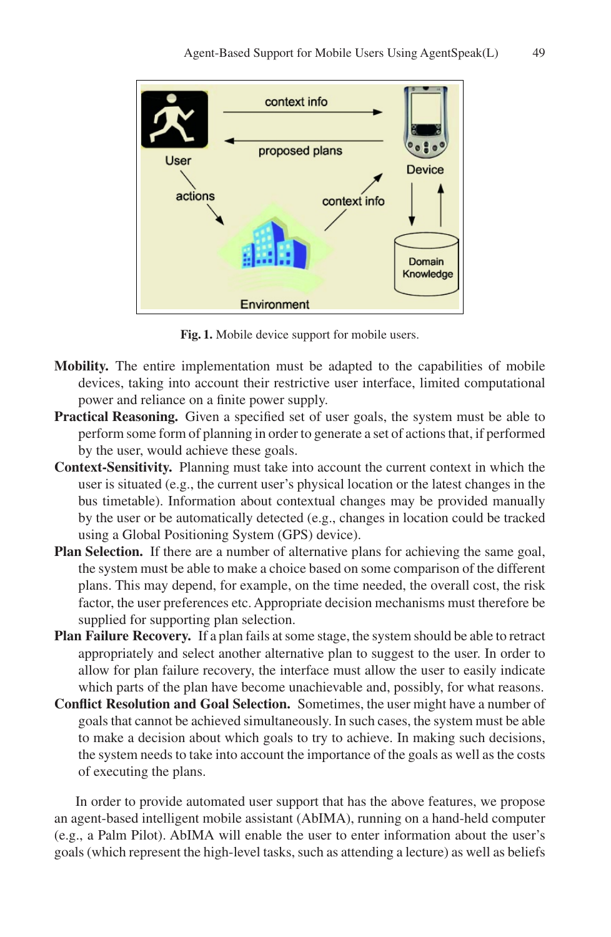

**Fig. 1.** Mobile device support for mobile users.

- **Mobility.** The entire implementation must be adapted to the capabilities of mobile devices, taking into account their restrictive user interface, limited computational power and reliance on a finite power supply.
- **Practical Reasoning.** Given a specified set of user goals, the system must be able to perform some form of planning in order to generate a set of actions that, if performed by the user, would achieve these goals.
- **Context-Sensitivity.** Planning must take into account the current context in which the user is situated (e.g., the current user's physical location or the latest changes in the bus timetable). Information about contextual changes may be provided manually by the user or be automatically detected (e.g., changes in location could be tracked using a Global Positioning System (GPS) device).
- Plan Selection. If there are a number of alternative plans for achieving the same goal, the system must be able to make a choice based on some comparison of the different plans. This may depend, for example, on the time needed, the overall cost, the risk factor, the user preferences etc. Appropriate decision mechanisms must therefore be supplied for supporting plan selection.
- **Plan Failure Recovery.** If a plan fails at some stage, the system should be able to retract appropriately and select another alternative plan to suggest to the user. In order to allow for plan failure recovery, the interface must allow the user to easily indicate which parts of the plan have become unachievable and, possibly, for what reasons.
- **Conflict Resolution and Goal Selection.** Sometimes, the user might have a number of goals that cannot be achieved simultaneously. In such cases, the system must be able to make a decision about which goals to try to achieve. In making such decisions, the system needs to take into account the importance of the goals as well as the costs of executing the plans.

In order to provide automated user support that has the above features, we propose an agent-based intelligent mobile assistant (AbIMA), running on a hand-held computer (e.g., a Palm Pilot). AbIMA will enable the user to enter information about the user's goals (which represent the high-level tasks, such as attending a lecture) as well as beliefs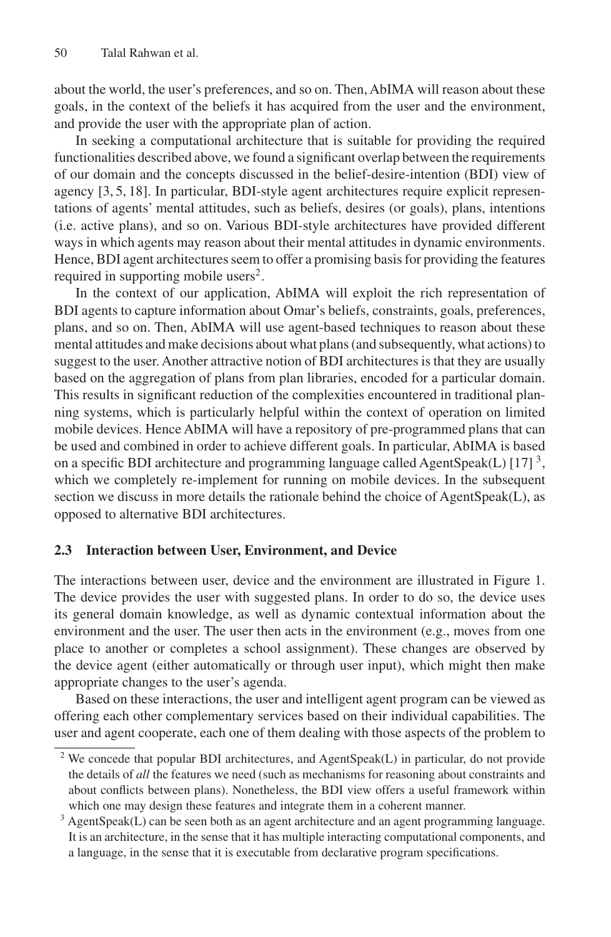about the world, the user's preferences, and so on. Then, AbIMA will reason about these goals, in the context of the beliefs it has acquired from the user and the environment, and provide the user with the appropriate plan of action.

In seeking a computational architecture that is suitable for providing the required functionalities described above, we found a significant overlap between the requirements of our domain and the concepts discussed in the belief-desire-intention (BDI) view of agency [3, 5, 18]. In particular, BDI-style agent architectures require explicit representations of agents' mental attitudes, such as beliefs, desires (or goals), plans, intentions (i.e. active plans), and so on. Various BDI-style architectures have provided different ways in which agents may reason about their mental attitudes in dynamic environments. Hence, BDI agent architectures seem to offer a promising basis for providing the features required in supporting mobile users<sup>2</sup>.

In the context of our application, AbIMA will exploit the rich representation of BDI agents to capture information about Omar's beliefs, constraints, goals, preferences, plans, and so on. Then, AbIMA will use agent-based techniques to reason about these mental attitudes and make decisions about what plans (and subsequently, what actions) to suggest to the user. Another attractive notion of BDI architectures is that they are usually based on the aggregation of plans from plan libraries, encoded for a particular domain. This results in significant reduction of the complexities encountered in traditional planning systems, which is particularly helpful within the context of operation on limited mobile devices. Hence AbIMA will have a repository of pre-programmed plans that can be used and combined in order to achieve different goals. In particular, AbIMA is based on a specific BDI architecture and programming language called AgentSpeak(L) [17]<sup>3</sup>, which we completely re-implement for running on mobile devices. In the subsequent section we discuss in more details the rationale behind the choice of AgentSpeak(L), as opposed to alternative BDI architectures.

#### **2.3 Interaction between User, Environment, and Device**

The interactions between user, device and the environment are illustrated in Figure 1. The device provides the user with suggested plans. In order to do so, the device uses its general domain knowledge, as well as dynamic contextual information about the environment and the user. The user then acts in the environment (e.g., moves from one place to another or completes a school assignment). These changes are observed by the device agent (either automatically or through user input), which might then make appropriate changes to the user's agenda.

Based on these interactions, the user and intelligent agent program can be viewed as offering each other complementary services based on their individual capabilities. The user and agent cooperate, each one of them dealing with those aspects of the problem to

<sup>&</sup>lt;sup>2</sup> We concede that popular BDI architectures, and AgentSpeak(L) in particular, do not provide the details of *all* the features we need (such as mechanisms for reasoning about constraints and about conflicts between plans). Nonetheless, the BDI view offers a useful framework within which one may design these features and integrate them in a coherent manner.

<sup>&</sup>lt;sup>3</sup> AgentSpeak(L) can be seen both as an agent architecture and an agent programming language. It is an architecture, in the sense that it has multiple interacting computational components, and a language, in the sense that it is executable from declarative program specifications.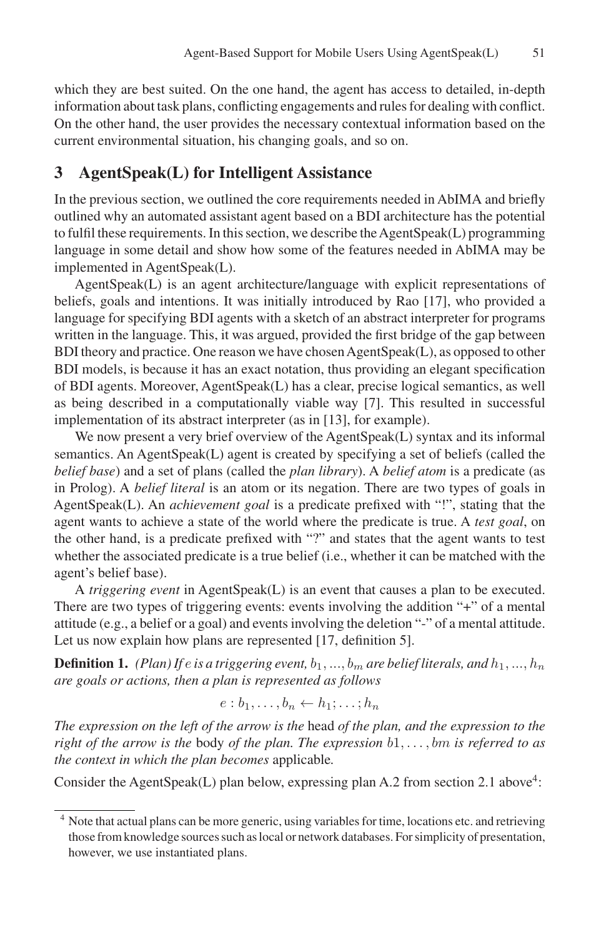which they are best suited. On the one hand, the agent has access to detailed, in-depth information about task plans, conflicting engagements and rules for dealing with conflict. On the other hand, the user provides the necessary contextual information based on the current environmental situation, his changing goals, and so on.

#### **3 AgentSpeak(L) for Intelligent Assistance**

In the previous section, we outlined the core requirements needed in AbIMA and briefly outlined why an automated assistant agent based on a BDI architecture has the potential to fulfil these requirements. In this section, we describe the  $AgentSpeak(L)$  programming language in some detail and show how some of the features needed in AbIMA may be implemented in AgentSpeak(L).

AgentSpeak(L) is an agent architecture/language with explicit representations of beliefs, goals and intentions. It was initially introduced by Rao [17], who provided a language for specifying BDI agents with a sketch of an abstract interpreter for programs written in the language. This, it was argued, provided the first bridge of the gap between BDI theory and practice. One reason we have chosen AgentSpeak(L), as opposed to other BDI models, is because it has an exact notation, thus providing an elegant specification of BDI agents. Moreover, AgentSpeak(L) has a clear, precise logical semantics, as well as being described in a computationally viable way [7]. This resulted in successful implementation of its abstract interpreter (as in [13], for example).

We now present a very brief overview of the AgentSpeak(L) syntax and its informal semantics. An AgentSpeak(L) agent is created by specifying a set of beliefs (called the *belief base*) and a set of plans (called the *plan library*). A *belief atom* is a predicate (as in Prolog). A *belief literal* is an atom or its negation. There are two types of goals in AgentSpeak(L). An *achievement goal* is a predicate prefixed with "!", stating that the agent wants to achieve a state of the world where the predicate is true. A *test goal*, on the other hand, is a predicate prefixed with "?" and states that the agent wants to test whether the associated predicate is a true belief (i.e., whether it can be matched with the agent's belief base).

A *triggering event* in AgentSpeak(L) is an event that causes a plan to be executed. There are two types of triggering events: events involving the addition "+" of a mental attitude (e.g., a belief or a goal) and events involving the deletion "-" of a mental attitude. Let us now explain how plans are represented [17, definition 5].

**Definition 1.** *(Plan) If e is a triggering event,*  $b_1, ..., b_m$  *are belief literals, and*  $h_1, ..., h_m$ *are goals or actions, then a plan is represented as follows*

$$
e:b_1,\ldots,b_n\leftarrow h_1;\ldots;h_n
$$

*The expression on the left of the arrow is the* head *of the plan, and the expression to the right of the arrow is the* body *of the plan. The expression* b1, . . . , bm *is referred to as the context in which the plan becomes* applicable*.*

Consider the AgentSpeak(L) plan below, expressing plan A.2 from section 2.1 above<sup>4</sup>:

<sup>4</sup> Note that actual plans can be more generic, using variables for time, locations etc. and retrieving those from knowledge sources such as local or network databases. For simplicity of presentation, however, we use instantiated plans.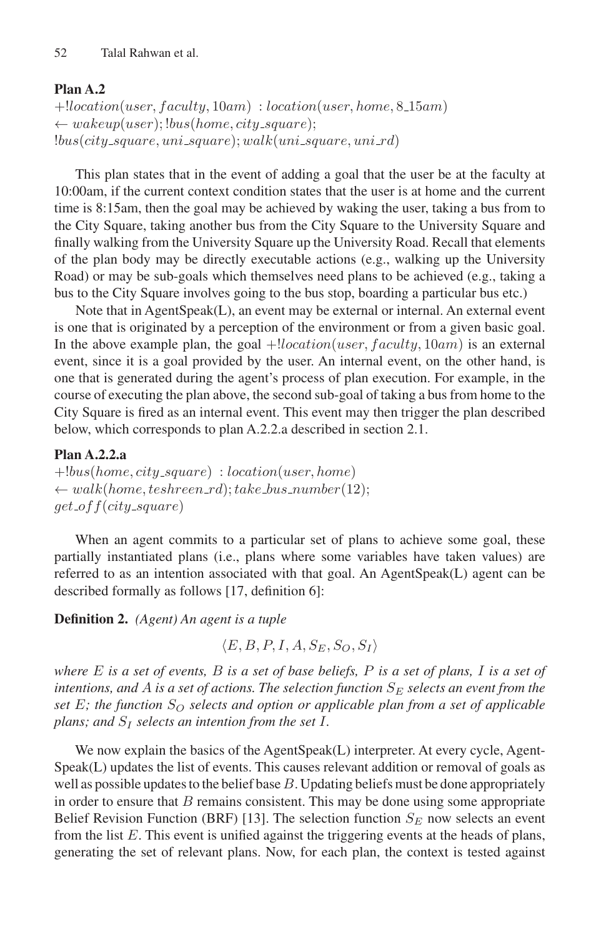#### **Plan A.2**

```
+!location(user, faculty, 10am) : location(user, home, 8.15am)\leftarrow wakeup(user); !bus(home, city_square);
y|bus(city_square, uni_square); walk(uni_square, uni_rdb)
```
This plan states that in the event of adding a goal that the user be at the faculty at 10:00am, if the current context condition states that the user is at home and the current time is 8:15am, then the goal may be achieved by waking the user, taking a bus from to the City Square, taking another bus from the City Square to the University Square and finally walking from the University Square up the University Road. Recall that elements of the plan body may be directly executable actions (e.g., walking up the University Road) or may be sub-goals which themselves need plans to be achieved (e.g., taking a bus to the City Square involves going to the bus stop, boarding a particular bus etc.)

Note that in AgentSpeak(L), an event may be external or internal. An external event is one that is originated by a perception of the environment or from a given basic goal. In the above example plan, the goal  $+!location(user, faculty, 10am)$  is an external event, since it is a goal provided by the user. An internal event, on the other hand, is one that is generated during the agent's process of plan execution. For example, in the course of executing the plan above, the second sub-goal of taking a bus from home to the City Square is fired as an internal event. This event may then trigger the plan described below, which corresponds to plan A.2.2.a described in section 2.1.

#### **Plan A.2.2.a**

```
+!bus(home, city square) : location(user, home)
\leftarrow walk(home, teshreen\_rd); take\_bus_number(12);get\_off(city\_square)
```
When an agent commits to a particular set of plans to achieve some goal, these partially instantiated plans (i.e., plans where some variables have taken values) are referred to as an intention associated with that goal. An AgentSpeak(L) agent can be described formally as follows [17, definition 6]:

**Definition 2.** *(Agent) An agent is a tuple*

 $\langle E, B, P, I, A, S_E, S_O, S_I \rangle$ 

*where* E *is a set of events,* B *is a set of base beliefs,* P *is a set of plans,* I *is a set of intentions, and A is a set of actions. The selection function*  $S_E$  *selects an event from the set*  $E$ *; the function*  $S<sub>O</sub>$  *selects and option or applicable plan from a set of applicable plans; and*  $S_I$  *selects an intention from the set I.* 

We now explain the basics of the AgentSpeak(L) interpreter. At every cycle, Agent-Speak(L) updates the list of events. This causes relevant addition or removal of goals as well as possible updates to the belief base  $B$ . Updating beliefs must be done appropriately in order to ensure that  $B$  remains consistent. This may be done using some appropriate Belief Revision Function (BRF) [13]. The selection function  $S_E$  now selects an event from the list E. This event is unified against the triggering events at the heads of plans, generating the set of relevant plans. Now, for each plan, the context is tested against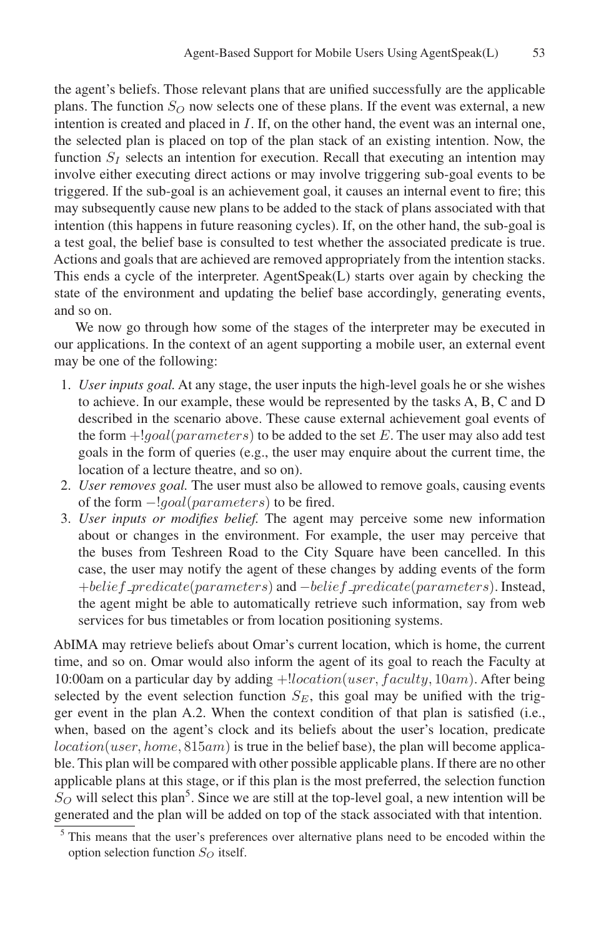the agent's beliefs. Those relevant plans that are unified successfully are the applicable plans. The function  $S<sub>O</sub>$  now selects one of these plans. If the event was external, a new intention is created and placed in I. If, on the other hand, the event was an internal one, the selected plan is placed on top of the plan stack of an existing intention. Now, the function  $S_I$  selects an intention for execution. Recall that executing an intention may involve either executing direct actions or may involve triggering sub-goal events to be triggered. If the sub-goal is an achievement goal, it causes an internal event to fire; this may subsequently cause new plans to be added to the stack of plans associated with that intention (this happens in future reasoning cycles). If, on the other hand, the sub-goal is a test goal, the belief base is consulted to test whether the associated predicate is true. Actions and goals that are achieved are removed appropriately from the intention stacks. This ends a cycle of the interpreter. AgentSpeak(L) starts over again by checking the state of the environment and updating the belief base accordingly, generating events, and so on.

We now go through how some of the stages of the interpreter may be executed in our applications. In the context of an agent supporting a mobile user, an external event may be one of the following:

- 1. *User inputs goal.* At any stage, the user inputs the high-level goals he or she wishes to achieve. In our example, these would be represented by the tasks A, B, C and D described in the scenario above. These cause external achievement goal events of the form  $+!goal(parameters)$  to be added to the set E. The user may also add test goals in the form of queries (e.g., the user may enquire about the current time, the location of a lecture theatre, and so on).
- 2. *User removes goal.* The user must also be allowed to remove goals, causing events of the form −!goal(parameters) to be fired.
- 3. *User inputs or modifies belief.* The agent may perceive some new information about or changes in the environment. For example, the user may perceive that the buses from Teshreen Road to the City Square have been cancelled. In this case, the user may notify the agent of these changes by adding events of the form +belief\_predicate(parameters) and −belief\_predicate(parameters). Instead, the agent might be able to automatically retrieve such information, say from web services for bus timetables or from location positioning systems.

AbIMA may retrieve beliefs about Omar's current location, which is home, the current time, and so on. Omar would also inform the agent of its goal to reach the Faculty at 10:00am on a particular day by adding +!location(user, f aculty, 10am). After being selected by the event selection function  $S_E$ , this goal may be unified with the trigger event in the plan A.2. When the context condition of that plan is satisfied (i.e., when, based on the agent's clock and its beliefs about the user's location, predicate  $location(user, home, 815am)$  is true in the belief base), the plan will become applicable. This plan will be compared with other possible applicable plans. If there are no other applicable plans at this stage, or if this plan is the most preferred, the selection function  $S<sub>O</sub>$  will select this plan<sup>5</sup>. Since we are still at the top-level goal, a new intention will be generated and the plan will be added on top of the stack associated with that intention.

<sup>5</sup> This means that the user's preferences over alternative plans need to be encoded within the option selection function  $S_O$  itself.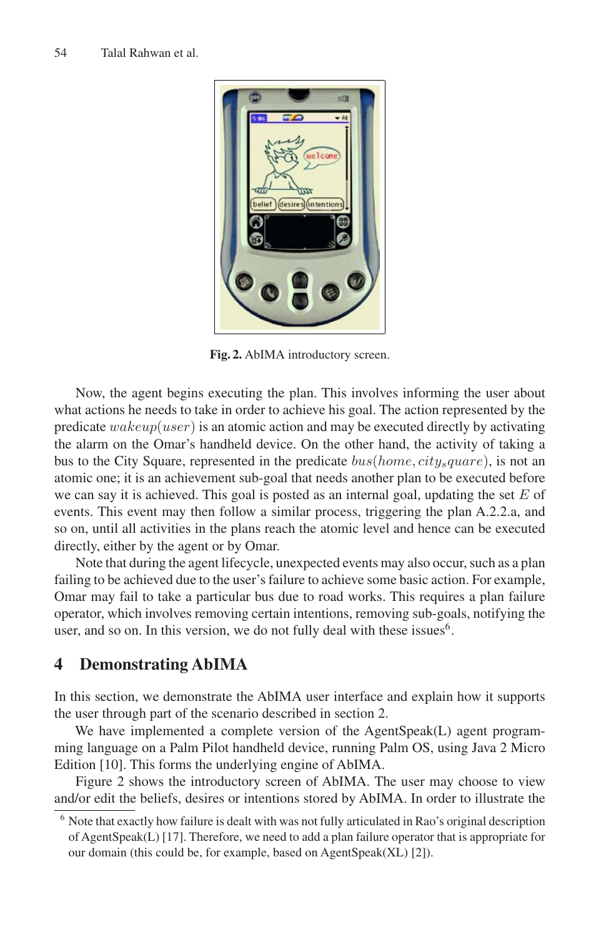

**Fig. 2.** AbIMA introductory screen.

Now, the agent begins executing the plan. This involves informing the user about what actions he needs to take in order to achieve his goal. The action represented by the predicate  $wakeup(user)$  is an atomic action and may be executed directly by activating the alarm on the Omar's handheld device. On the other hand, the activity of taking a bus to the City Square, represented in the predicate  $bus(home, city, quare)$ , is not an atomic one; it is an achievement sub-goal that needs another plan to be executed before we can say it is achieved. This goal is posted as an internal goal, updating the set  $E$  of events. This event may then follow a similar process, triggering the plan A.2.2.a, and so on, until all activities in the plans reach the atomic level and hence can be executed directly, either by the agent or by Omar.

Note that during the agent lifecycle, unexpected events may also occur, such as a plan failing to be achieved due to the user's failure to achieve some basic action. For example, Omar may fail to take a particular bus due to road works. This requires a plan failure operator, which involves removing certain intentions, removing sub-goals, notifying the user, and so on. In this version, we do not fully deal with these issues $\delta$ .

## **4 Demonstrating AbIMA**

In this section, we demonstrate the AbIMA user interface and explain how it supports the user through part of the scenario described in section 2.

We have implemented a complete version of the AgentSpeak(L) agent programming language on a Palm Pilot handheld device, running Palm OS, using Java 2 Micro Edition [10]. This forms the underlying engine of AbIMA.

Figure 2 shows the introductory screen of AbIMA. The user may choose to view and/or edit the beliefs, desires or intentions stored by AbIMA. In order to illustrate the

<sup>6</sup> Note that exactly how failure is dealt with was not fully articulated in Rao's original description of AgentSpeak(L) [17]. Therefore, we need to add a plan failure operator that is appropriate for our domain (this could be, for example, based on AgentSpeak(XL) [2]).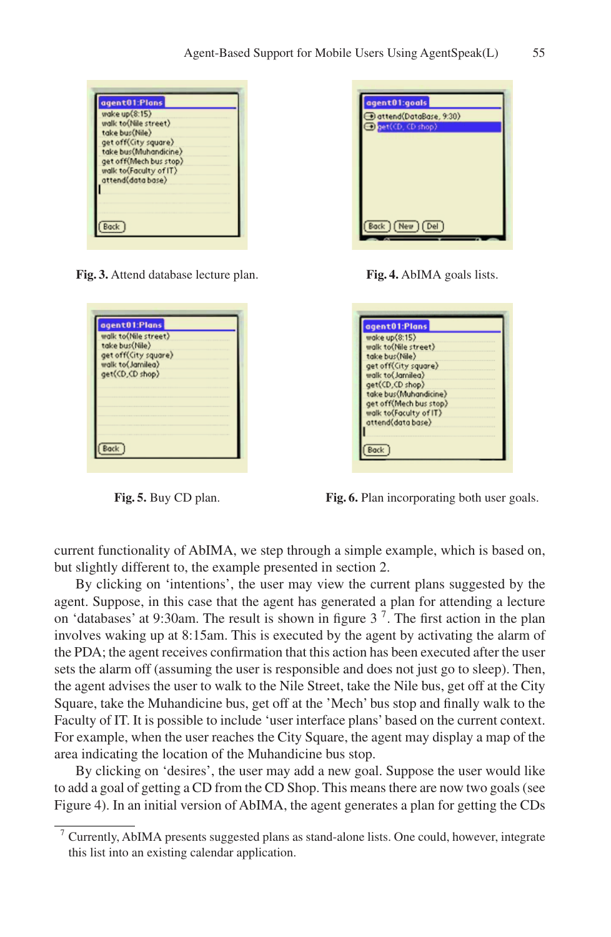

**Fig. 3.** Attend database lecture plan. **Fig. 4.** AbIMA goals lists.

| agent01:Plans                            |  |
|------------------------------------------|--|
| walk to(Nile street)                     |  |
| take bus(Nile)                           |  |
| get off(City square)<br>walk to(Jamilea) |  |
| get(CD_CD shop)                          |  |
|                                          |  |
|                                          |  |
|                                          |  |
|                                          |  |
|                                          |  |
|                                          |  |
|                                          |  |



|      | agent01:Plans          |
|------|------------------------|
|      | wake up(8:15)          |
|      | walk to(Nile street)   |
|      | take bus(Nile)         |
|      | get off(City square)   |
|      | walk to(Jamilea)       |
|      | get(CD,CD shop)        |
|      | take bus(Muhandicine)  |
|      | get off(Mech bus stop) |
|      | walk to(Faculty of IT) |
|      | attend(data base)      |
|      |                        |
|      |                        |
| Rack |                        |
|      |                        |

**Fig. 5.** Buy CD plan. **Fig. 6.** Plan incorporating both user goals.

current functionality of AbIMA, we step through a simple example, which is based on, but slightly different to, the example presented in section 2.

By clicking on 'intentions', the user may view the current plans suggested by the agent. Suppose, in this case that the agent has generated a plan for attending a lecture on 'databases' at 9:30am. The result is shown in figure  $3<sup>7</sup>$ . The first action in the plan involves waking up at 8:15am. This is executed by the agent by activating the alarm of the PDA; the agent receives confirmation that this action has been executed after the user sets the alarm off (assuming the user is responsible and does not just go to sleep). Then, the agent advises the user to walk to the Nile Street, take the Nile bus, get off at the City Square, take the Muhandicine bus, get off at the 'Mech' bus stop and finally walk to the Faculty of IT. It is possible to include 'user interface plans' based on the current context. For example, when the user reaches the City Square, the agent may display a map of the area indicating the location of the Muhandicine bus stop.

By clicking on 'desires', the user may add a new goal. Suppose the user would like to add a goal of getting a CD from the CD Shop. This means there are now two goals (see Figure 4). In an initial version of AbIMA, the agent generates a plan for getting the CDs

 $\frac{7}{7}$  Currently, AbIMA presents suggested plans as stand-alone lists. One could, however, integrate this list into an existing calendar application.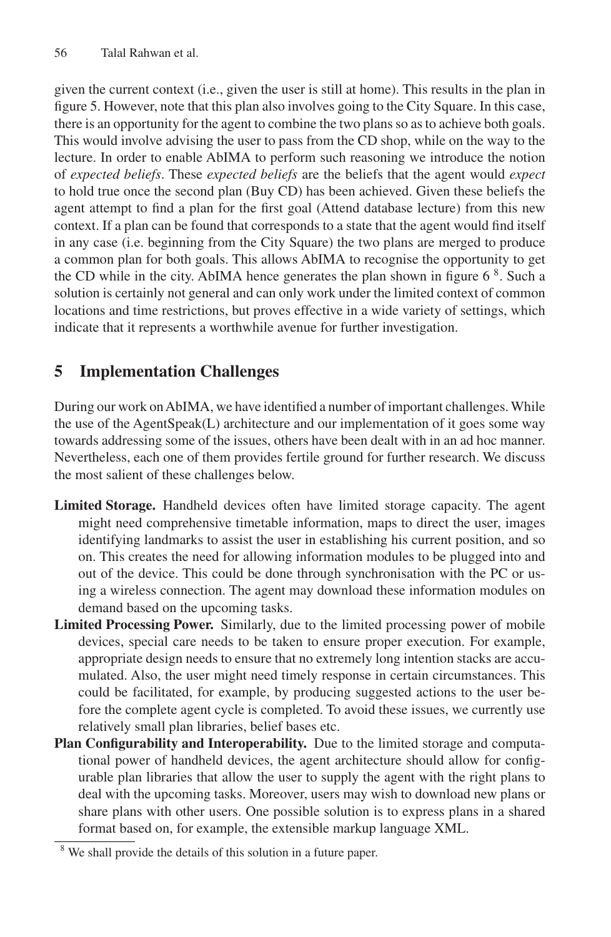given the current context (i.e., given the user is still at home). This results in the plan in figure 5. However, note that this plan also involves going to the City Square. In this case, there is an opportunity for the agent to combine the two plans so as to achieve both goals. This would involve advising the user to pass from the CD shop, while on the way to the lecture. In order to enable AbIMA to perform such reasoning we introduce the notion of *expected beliefs*. These *expected beliefs* are the beliefs that the agent would *expect* to hold true once the second plan (Buy CD) has been achieved. Given these beliefs the agent attempt to find a plan for the first goal (Attend database lecture) from this new context. If a plan can be found that corresponds to a state that the agent would find itself in any case (i.e. beginning from the City Square) the two plans are merged to produce a common plan for both goals. This allows AbIMA to recognise the opportunity to get the CD while in the city. AbIMA hence generates the plan shown in figure  $6^8$ . Such a solution is certainly not general and can only work under the limited context of common locations and time restrictions, but proves effective in a wide variety of settings, which indicate that it represents a worthwhile avenue for further investigation.

## **5 Implementation Challenges**

During our work onAbIMA, we have identified a number of important challenges.While the use of the AgentSpeak(L) architecture and our implementation of it goes some way towards addressing some of the issues, others have been dealt with in an ad hoc manner. Nevertheless, each one of them provides fertile ground for further research. We discuss the most salient of these challenges below.

- **Limited Storage.** Handheld devices often have limited storage capacity. The agent might need comprehensive timetable information, maps to direct the user, images identifying landmarks to assist the user in establishing his current position, and so on. This creates the need for allowing information modules to be plugged into and out of the device. This could be done through synchronisation with the PC or using a wireless connection. The agent may download these information modules on demand based on the upcoming tasks.
- **Limited Processing Power.** Similarly, due to the limited processing power of mobile devices, special care needs to be taken to ensure proper execution. For example, appropriate design needs to ensure that no extremely long intention stacks are accumulated. Also, the user might need timely response in certain circumstances. This could be facilitated, for example, by producing suggested actions to the user before the complete agent cycle is completed. To avoid these issues, we currently use relatively small plan libraries, belief bases etc.
- **Plan Configurability and Interoperability.** Due to the limited storage and computational power of handheld devices, the agent architecture should allow for configurable plan libraries that allow the user to supply the agent with the right plans to deal with the upcoming tasks. Moreover, users may wish to download new plans or share plans with other users. One possible solution is to express plans in a shared format based on, for example, the extensible markup language XML.

<sup>&</sup>lt;sup>8</sup> We shall provide the details of this solution in a future paper.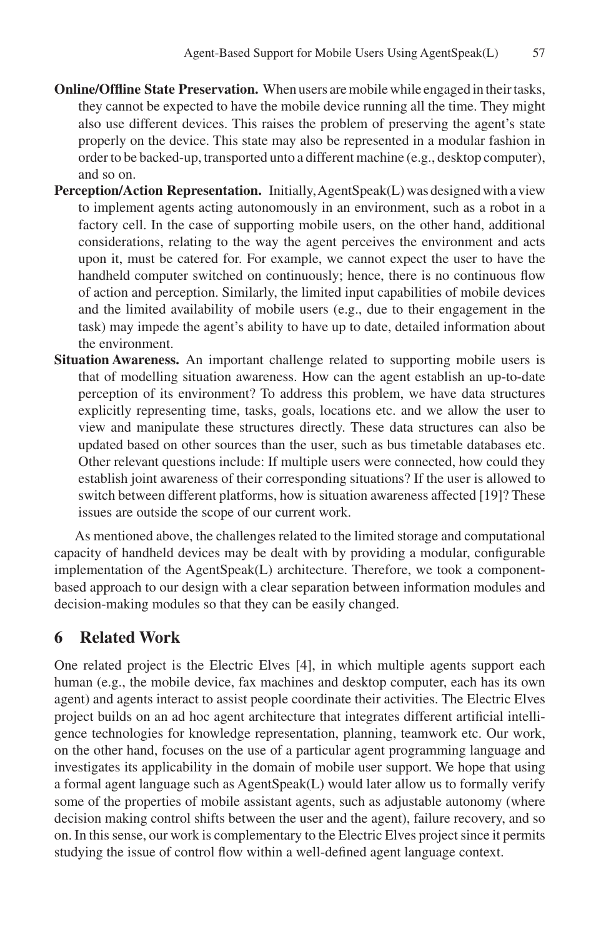- **Online/Offline State Preservation.** When users are mobile while engaged in their tasks, they cannot be expected to have the mobile device running all the time. They might also use different devices. This raises the problem of preserving the agent's state properly on the device. This state may also be represented in a modular fashion in order to be backed-up, transported unto a different machine (e.g., desktop computer), and so on.
- **Perception/Action Representation.** Initially,AgentSpeak(L) was designed with a view to implement agents acting autonomously in an environment, such as a robot in a factory cell. In the case of supporting mobile users, on the other hand, additional considerations, relating to the way the agent perceives the environment and acts upon it, must be catered for. For example, we cannot expect the user to have the handheld computer switched on continuously; hence, there is no continuous flow of action and perception. Similarly, the limited input capabilities of mobile devices and the limited availability of mobile users (e.g., due to their engagement in the task) may impede the agent's ability to have up to date, detailed information about the environment.
- **Situation Awareness.** An important challenge related to supporting mobile users is that of modelling situation awareness. How can the agent establish an up-to-date perception of its environment? To address this problem, we have data structures explicitly representing time, tasks, goals, locations etc. and we allow the user to view and manipulate these structures directly. These data structures can also be updated based on other sources than the user, such as bus timetable databases etc. Other relevant questions include: If multiple users were connected, how could they establish joint awareness of their corresponding situations? If the user is allowed to switch between different platforms, how is situation awareness affected [19]? These issues are outside the scope of our current work.

As mentioned above, the challenges related to the limited storage and computational capacity of handheld devices may be dealt with by providing a modular, configurable implementation of the AgentSpeak(L) architecture. Therefore, we took a componentbased approach to our design with a clear separation between information modules and decision-making modules so that they can be easily changed.

## **6 Related Work**

One related project is the Electric Elves [4], in which multiple agents support each human (e.g., the mobile device, fax machines and desktop computer, each has its own agent) and agents interact to assist people coordinate their activities. The Electric Elves project builds on an ad hoc agent architecture that integrates different artificial intelligence technologies for knowledge representation, planning, teamwork etc. Our work, on the other hand, focuses on the use of a particular agent programming language and investigates its applicability in the domain of mobile user support. We hope that using a formal agent language such as AgentSpeak(L) would later allow us to formally verify some of the properties of mobile assistant agents, such as adjustable autonomy (where decision making control shifts between the user and the agent), failure recovery, and so on. In this sense, our work is complementary to the Electric Elves project since it permits studying the issue of control flow within a well-defined agent language context.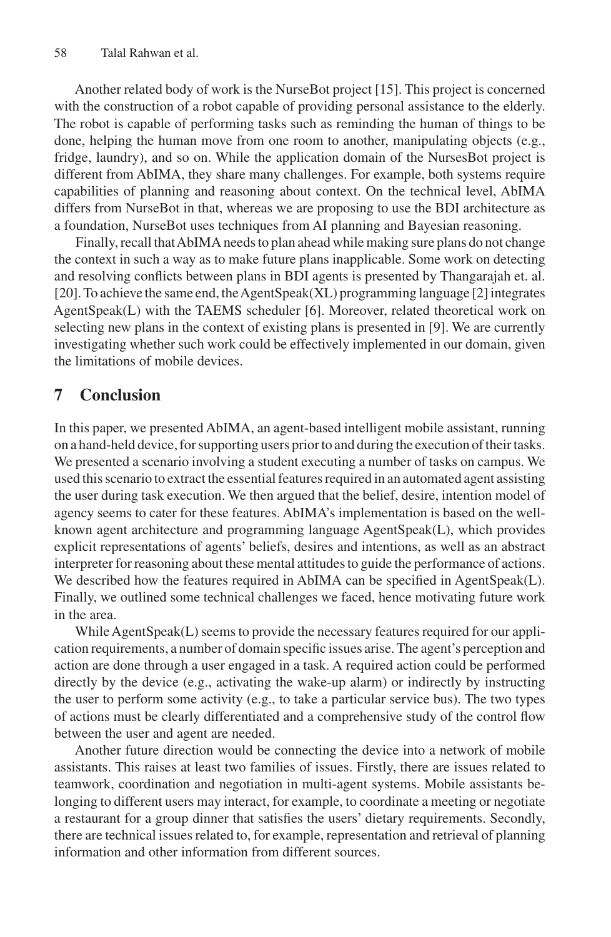Another related body of work is the NurseBot project [15]. This project is concerned with the construction of a robot capable of providing personal assistance to the elderly. The robot is capable of performing tasks such as reminding the human of things to be done, helping the human move from one room to another, manipulating objects (e.g., fridge, laundry), and so on. While the application domain of the NursesBot project is different from AbIMA, they share many challenges. For example, both systems require capabilities of planning and reasoning about context. On the technical level, AbIMA differs from NurseBot in that, whereas we are proposing to use the BDI architecture as a foundation, NurseBot uses techniques from AI planning and Bayesian reasoning.

Finally, recall thatAbIMA needs to plan ahead while making sure plans do not change the context in such a way as to make future plans inapplicable. Some work on detecting and resolving conflicts between plans in BDI agents is presented by Thangarajah et. al. [20]. To achieve the same end, theAgentSpeak(XL) programming language [2] integrates AgentSpeak(L) with the TAEMS scheduler [6]. Moreover, related theoretical work on selecting new plans in the context of existing plans is presented in [9]. We are currently investigating whether such work could be effectively implemented in our domain, given the limitations of mobile devices.

## **7 Conclusion**

In this paper, we presented AbIMA, an agent-based intelligent mobile assistant, running on a hand-held device, for supporting users prior to and during the execution of their tasks. We presented a scenario involving a student executing a number of tasks on campus. We used this scenario to extract the essential features required in an automated agent assisting the user during task execution. We then argued that the belief, desire, intention model of agency seems to cater for these features. AbIMA's implementation is based on the wellknown agent architecture and programming language AgentSpeak(L), which provides explicit representations of agents' beliefs, desires and intentions, as well as an abstract interpreter for reasoning about these mental attitudes to guide the performance of actions. We described how the features required in AbIMA can be specified in AgentSpeak(L). Finally, we outlined some technical challenges we faced, hence motivating future work in the area.

While AgentSpeak(L) seems to provide the necessary features required for our application requirements, a number of domain specific issues arise. The agent's perception and action are done through a user engaged in a task. A required action could be performed directly by the device (e.g., activating the wake-up alarm) or indirectly by instructing the user to perform some activity (e.g., to take a particular service bus). The two types of actions must be clearly differentiated and a comprehensive study of the control flow between the user and agent are needed.

Another future direction would be connecting the device into a network of mobile assistants. This raises at least two families of issues. Firstly, there are issues related to teamwork, coordination and negotiation in multi-agent systems. Mobile assistants belonging to different users may interact, for example, to coordinate a meeting or negotiate a restaurant for a group dinner that satisfies the users' dietary requirements. Secondly, there are technical issues related to, for example, representation and retrieval of planning information and other information from different sources.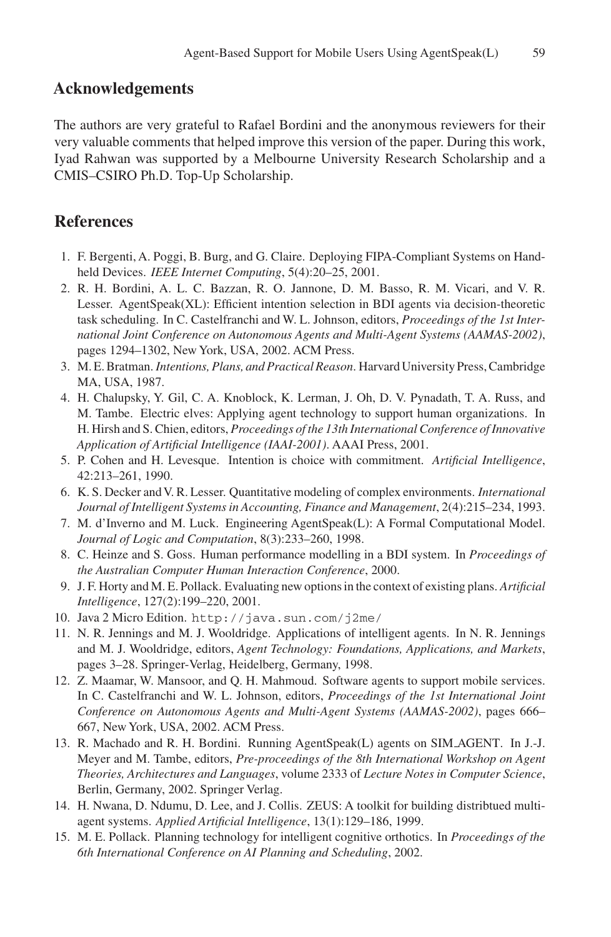#### **Acknowledgements**

The authors are very grateful to Rafael Bordini and the anonymous reviewers for their very valuable comments that helped improve this version of the paper. During this work, Iyad Rahwan was supported by a Melbourne University Research Scholarship and a CMIS–CSIRO Ph.D. Top-Up Scholarship.

## **References**

- 1. F. Bergenti, A. Poggi, B. Burg, and G. Claire. Deploying FIPA-Compliant Systems on Handheld Devices. *IEEE Internet Computing*, 5(4):20–25, 2001.
- 2. R. H. Bordini, A. L. C. Bazzan, R. O. Jannone, D. M. Basso, R. M. Vicari, and V. R. Lesser. AgentSpeak(XL): Efficient intention selection in BDI agents via decision-theoretic task scheduling. In C. Castelfranchi and W. L. Johnson, editors, *Proceedings of the 1st International Joint Conference on Autonomous Agents and Multi-Agent Systems (AAMAS-2002)*, pages 1294–1302, New York, USA, 2002. ACM Press.
- 3. M. E. Bratman. *Intentions, Plans, and Practical Reason*. Harvard University Press, Cambridge MA, USA, 1987.
- 4. H. Chalupsky, Y. Gil, C. A. Knoblock, K. Lerman, J. Oh, D. V. Pynadath, T. A. Russ, and M. Tambe. Electric elves: Applying agent technology to support human organizations. In H. Hirsh and S. Chien, editors, *Proceedings of the 13th International Conference of Innovative Application of Artificial Intelligence (IAAI-2001)*. AAAI Press, 2001.
- 5. P. Cohen and H. Levesque. Intention is choice with commitment. *Artificial Intelligence*, 42:213–261, 1990.
- 6. K. S. Decker and V. R. Lesser. Quantitative modeling of complex environments. *International Journal of Intelligent Systems in Accounting, Finance and Management*, 2(4):215–234, 1993.
- 7. M. d'Inverno and M. Luck. Engineering AgentSpeak(L): A Formal Computational Model. *Journal of Logic and Computation*, 8(3):233–260, 1998.
- 8. C. Heinze and S. Goss. Human performance modelling in a BDI system. In *Proceedings of the Australian Computer Human Interaction Conference*, 2000.
- 9. J. F. Horty and M. E. Pollack. Evaluating new options in the context of existing plans. *Artificial Intelligence*, 127(2):199–220, 2001.
- 10. Java 2 Micro Edition. http://java.sun.com/j2me/
- 11. N. R. Jennings and M. J. Wooldridge. Applications of intelligent agents. In N. R. Jennings and M. J. Wooldridge, editors, *Agent Technology: Foundations, Applications, and Markets*, pages 3–28. Springer-Verlag, Heidelberg, Germany, 1998.
- 12. Z. Maamar, W. Mansoor, and Q. H. Mahmoud. Software agents to support mobile services. In C. Castelfranchi and W. L. Johnson, editors, *Proceedings of the 1st International Joint Conference on Autonomous Agents and Multi-Agent Systems (AAMAS-2002)*, pages 666– 667, New York, USA, 2002. ACM Press.
- 13. R. Machado and R. H. Bordini. Running AgentSpeak(L) agents on SIM AGENT. In J.-J. Meyer and M. Tambe, editors, *Pre-proceedings of the 8th International Workshop on Agent Theories, Architectures and Languages*, volume 2333 of *Lecture Notes in Computer Science*, Berlin, Germany, 2002. Springer Verlag.
- 14. H. Nwana, D. Ndumu, D. Lee, and J. Collis. ZEUS: A toolkit for building distribtued multiagent systems. *Applied Artificial Intelligence*, 13(1):129–186, 1999.
- 15. M. E. Pollack. Planning technology for intelligent cognitive orthotics. In *Proceedings of the 6th International Conference on AI Planning and Scheduling*, 2002.